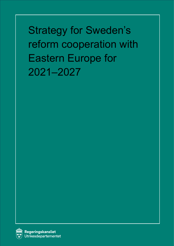Strategy for Sweden's reform cooperation with Eastern Europe for 2021–2027

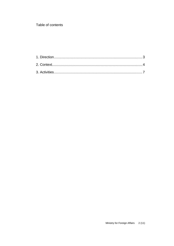Table of contents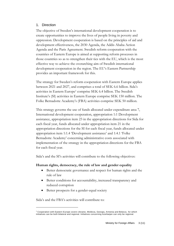#### <span id="page-2-0"></span>1. Direction

The objective of Sweden's international development cooperation is to create opportunities to improve the lives of people living in poverty and oppression. Development cooperation is based on the principles of aid and development effectiveness, the 2030 Agenda, the Addis Ababa Action Agenda and the Paris Agreement. Swedish reform cooperation with the countries of Eastern Europe is aimed at supporting reform processes in those countries so as to strengthen their ties with the EU, which is the most effective way to achieve the overarching aim of Swedish international development cooperation in the region. The EU's Eastern Partnership provides an important framework for this.

The strategy for Sweden's reform cooperation with Eastern Europe applies between 2021 and 2027, and comprises a total of SEK 6.6 billion. Sida's activities in Eastern Europe<sup>1</sup> comprise SEK 6.4 billion. The Swedish Institute's (SI) activities in Eastern Europe comprise SEK 150 million. The Folke Bernadotte Academy's (FBA) activities comprise SEK 50 million.

This strategy governs the use of funds allocated under expenditure area 7, International development cooperation, appropriation 1:1 Development assistance, appropriation item 23 in the appropriation directions for Sida for each fiscal year, funds allocated under appropriation item 21 in the appropriation directions for the SI for each fiscal year, funds allocated under appropriation item 1:1.4 'Development assistance' and 1:4.1 'Folke Bernadotte Academy' concerning administrative costs associated with implementation of the strategy in the appropriation directions for the FBA for each fiscal year.

Sida's and the SI's activities will contribute to the following objectives:

## **Human rights, democracy, the rule of law and gender equality**

- Better democratic governance and respect for human rights and the rule of law
- Better conditions for accountability, increased transparency and reduced corruption
- Better prospects for a gender-equal society

Sida's and the FBA's activities will contribute to:

<sup>1</sup> Cooperation with Eastern Europe covers Ukraine, Moldova, Georgia, Armenia and Belarus, for which initiatives can be both bilateral and regional. Initiatives concerning Azerbaijan can only be regional.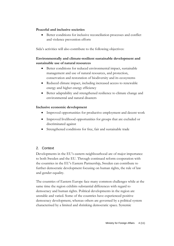#### **Peaceful and inclusive societies**

• Better conditions for inclusive reconciliation processes and conflict and violence prevention efforts

Sida's activities will also contribute to the following objectives:

## **Environmentally and climate-resilient sustainable development and sustainable use of natural resources**

- Better conditions for reduced environmental impact, sustainable management and use of natural resources, and protection, conservation and restoration of biodiversity and its ecosystems
- Reduced climate impact, including increased access to renewable energy and higher energy efficiency
- Better adaptability and strengthened resilience to climate change and environmental and natural disasters

## **Inclusive economic development**

- Improved opportunities for productive employment and decent work
- Improved livelihood opportunities for groups that are excluded or discriminated against
- Strengthened conditions for free, fair and sustainable trade

# <span id="page-3-0"></span>2. Context

Developments in the EU's eastern neighbourhood are of major importance to both Sweden and the EU. Through continued reform cooperation with the countries in the EU's Eastern Partnership, Sweden can contribute to further democratic development focusing on human rights, the rule of law and gender equality.

The countries of Eastern Europe face many common challenges while at the same time the region exhibits substantial differences with regard to democracy and human rights. Political developments in the region are unstable and varied. Some of the countries have experienced positive democracy development, whereas others are governed by a political system characterised by a limited and shrinking democratic space. Systemic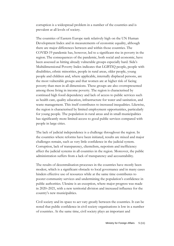corruption is a widespread problem in a number of the countries and is prevalent at all levels of society.

The countries of Eastern Europe rank relatively high on the UN Human Development Index and in measurements of economic equality, although there are major differences between and within those countries. The COVID-19 pandemic has, however, led to a significant rise in poverty in the region. The consequences of the pandemic, both social and economic, have been assessed as hitting already vulnerable groups especially hard. Sida's Multidimensional Poverty Index indicates that LGBTIQ people, people with disabilities, ethnic minorities, people in rural areas, older people, young people and children and, where applicable, internally displaced persons, are the most vulnerable groups and that women are at higher risk of facing poverty than men in all dimensions. These groups are also overrepresented among those living in income poverty. The region is characterised by continued high fossil dependency and lack of access to public services such as health care, quality education, infrastructure for water and sanitation, and waste management. This itself contributes to increased inequalities. Likewise, the region is characterised by limited employment opportunities, particularly for young people. The population in rural areas and in small municipalities has significantly more limited access to good public services compared with people in large cities.

The lack of judicial independence is a challenge throughout the region. In the countries where reforms have been initiated, results are mixed and major challenges remain, such as very little confidence in the judicial system. Corruption, lack of transparency, clientelism, nepotism and inefficiency affect the judicial systems in all countries in the region. Moreover, the public administration suffers from a lack of transparency and accountability.

The results of decentralisation processes in the countries have mostly been modest, which is a significant obstacle to local governance and in many cases hinders effective use of resources while at the same time contributes to poorer community services and undermining the population's confidence in public authorities. Ukraine is an exception, where major progress was made in 2020–2021, with a new territorial division and increased influence for the country's new municipalities.

Civil society and its space to act vary greatly between the countries. It can be noted that public confidence in civil society organisations is low in a number of countries. At the same time, civil society plays an important and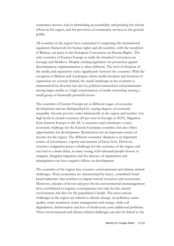sometimes decisive role in demanding accountability and pushing for reform efforts in the region, and for provision of community services to the general public.

All countries in the region have committed to respecting the international regulatory framework for human rights and all countries, with the exception of Belarus, are party to the European Convention on Human Rights. The only countries of Eastern Europe to ratify the Istanbul Convention are Georgia and Moldova. Despite existing legislation for protection against discrimination, implementation is often deficient. The level of freedom of the media and expression varies significantly between the countries. With the exception of Belarus and Azerbaijan, where media freedom and freedom of expression are severely limited, the media landscape in the countries is characterised by diversity but also by political connections and polarisation among larger media or a high concentration of media ownership among a small group of financially powerful actors.

The countries of Eastern Europe are at different stages of economic development and are distinguished by varying degrees of economic inequality. Income poverty varies dramatically in the region and reaches very high levels in certain countries (40 per cent in Georgia in 2019). Migration from Eastern Europe to the EU is extensive and constitutes a socioeconomic challenge for the Eastern European countries, but also offers opportunities for development. Remittances are an important source of income for the region. The different countries' diaspora is an important source of investments, exports and transfer of know-how. However, extensive emigration poses a challenge for the countries of the region and can lead to a brain drain, as many young, well-educated people choose to emigrate. Irregular migration and the absence of repatriation and reintegration can have negative effects on development.

The countries of the region face extensive environmental and climate-related challenges. Their economies are characterised by heavy, centralised fossilbased industries that continue to impact natural resources and ecosystems. Moreover, decades of Soviet and post-Soviet environmental mismanagement have contributed to negative consequences not only for the natural environment, but also for the population's health. The most serious challenges in the region are related to climate change, air pollution, water quality, water treatment, waste management and energy, while soil degradation, deforestation and loss of biodiversity pose additional problems. These environmental and climate-related challenges can also be linked to the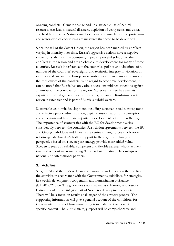ongoing conflicts. Climate change and unsustainable use of natural resources can lead to natural disasters, depletion of ecosystems and water, and health problems. Nature-based solutions, sustainable use and protection and restoration of ecosystems are measures that need to be developed.

Since the fall of the Soviet Union, the region has been marked by conflicts varying in intensity over time. Russia's aggressive actions have a negative impact on stability in the countries, impede a peaceful solution to the conflicts in the region and are an obstacle to development for many of these countries. Russia's interference in the countries' politics and violations of a number of the countries' sovereignty and territorial integrity in violation of international law and the European security order are in many cases among the root causes of the conflicts. With regard to economic development, it can be noted that Russia has on various occasions initiated sanctions against a number of the countries of the region. Moreover, Russia has used its exports of natural gas as a means of exerting pressure. Disinformation in the region is extensive and is part of Russia's hybrid warfare.

Sustainable economic development, including sustainable trade, transparent and effective public administration, digital transformation, anti-corruption, and education and health are important development priorities in the region. The importance of stronger ties with the EU for development varies considerably between the countries. Association agreements between the EU and Georgia, Moldova and Ukraine are central driving forces in a broader reform agenda. Sweden's lasting support to the region and long-term perspective based on a seven-year strategy provide clear added value. Sweden is seen as a reliable, competent and flexible partner who is actively involved without micromanaging. This has built trusting relationships with national and international partners.

#### <span id="page-6-0"></span>3. Activities

Sida, the SI and the FBA will carry out, monitor and report on the results of the activities in accordance with the Government's guidelines for strategies in Swedish development cooperation and humanitarian assistance (UD2017/21053). The guidelines state that analysis, learning and lessons learned should be an integral part of Sweden's development cooperation. There will be a focus on results at all stages of the strategy process. The supporting information will give a general account of the conditions for implementation and of how monitoring is intended to take place in the specific context. The annual strategy report will be comprehensive and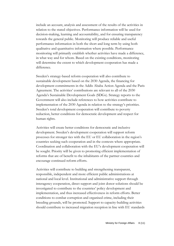include an account, analysis and assessment of the results of the activities in relation to the stated objectives. Performance information will be used for decision-making, learning and accountability, and for ensuring transparency towards the general public. Monitoring will produce reliable and useful performance information in both the short and long term by using both qualitative and quantitative information where possible. Performance monitoring will primarily establish whether activities have made a difference, in what way and for whom. Based on the existing conditions, monitoring will determine the extent to which development cooperation has made a difference.

Sweden's strategy-based reform cooperation will also contribute to sustainable development based on the 2030 Agenda, the financing for development commitments in the Addis Ababa Action Agenda and the Paris Agreement. The activities' contributions are relevant to all of the 2030 Agenda's Sustainable Development Goals (SDGs). Strategy reports to the Government will also include references to how activities contribute to implementation of the 2030 Agenda in relation to the strategy's priorities. Sweden's total development cooperation will contribute to poverty reduction, better conditions for democratic development and respect for human rights.

Activities will create better conditions for democratic and inclusive development. Sweden's development cooperation will support reform processes for stronger ties with the EU or EU collaboration in the region's countries seeking such cooperation and in the contexts where appropriate. Coordination and collaboration with the EU's development cooperation will be sought. Priority will be given to promoting efficient implementation of reforms that are of benefit to the inhabitants of the partner countries and encourage continued reform efforts.

Activities will contribute to building and strengthening transparent, responsible, independent and more efficient public administrations at national and local level. Institutional and administrative support through interagency cooperation, direct support and joint donor solutions should be investigated to contribute to the countries' policy development and implementation, and thus increased effectiveness in reform efforts. Better conditions to combat corruption and organised crime, including their breeding grounds, will be promoted. Support to capacity-building activities should contribute to increased migration reception in line with EU standards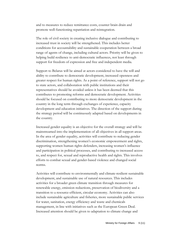and to measures to reduce remittance costs, counter brain drain and promote well-functioning repatriation and reintegration.

The role of civil society in creating inclusive dialogue and contributing to increased trust in society will be strengthened. This includes better conditions for accountability and sustainable cooperation between a broad range of agents of change, including cultural actors. Priority will be given to helping build resilience to anti-democratic influences, not least through support for freedom of expression and free and independent media.

Support to Belarus will be aimed at actors considered to have the will and ability to contribute to democratic development, increased openness and greater respect for human rights. As a point of reference, support will not go to state actors, and collaboration with public institutions and their representatives should be avoided unless it has been deemed that this contributes to promoting reforms and democratic development. Activities should be focused on contributing to more democratic development in the country in the long term through exchanges of experience, capacity development and education initiatives. The direction of the support during the strategy period will be continuously adapted based on developments in the country.

Increased gender equality is an objective for the overall strategy and will be mainstreamed into the implementation of all objectives in all support areas. In the area of gender equality, activities will contribute to reducing gender discrimination, strengthening women's economic empowerment and rights, supporting women human rights defenders, increasing women's influence and participation in political processes, and contributing to increased access to, and respect for, sexual and reproductive health and rights. This involves efforts to combat sexual and gender-based violence and changed social norms.

Activities will contribute to environmentally and climate-resilient sustainable development, and sustainable use of natural resources. This includes activities for a broader green climate transition through measures for renewable energy, emission reductions, preservation of biodiversity and a transition to a resource-efficient, circular economy. Activities can also include sustainable agriculture and fisheries, more sustainable public services for water, sanitation, energy efficiency and waste and chemicals management, in line with initiatives such as the European Green Deal. Increased attention should be given to adaptation to climate change and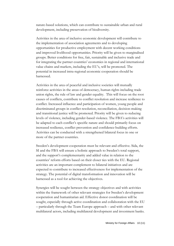nature-based solutions, which can contribute to sustainable urban and rural development, including preservation of biodiversity.

Activities in the area of inclusive economic development will contribute to the implementation of association agreements and to developing opportunities for productive employment with decent working conditions and improved livelihood opportunities. Priority will be given to marginalised groups. Better conditions for free, fair, sustainable and inclusive trade and for integrating the partner countries' economies in regional and international value chains and markets, including the EU's, will be promoted. The potential in increased intra-regional economic cooperation should be harnessed.

Activities in the area of peaceful and inclusive societies will mutually reinforce activities in the areas of democracy, human rights including trade union rights, the rule of law and gender equality. This will focus on the root causes of conflicts, contribute to conflict resolution and increase resilience to conflict. Increased influence and participation of women, young people and discriminated groups in conflict resolution, reconciliation, decision-making and transitional justice will be promoted. Priority will be given to reducing levels of violence, including gender-based violence. The FBA's activities will be adapted to each conflict's specific nature and should primarily focus on increased resilience, conflict prevention and confidence-building efforts. Activities can be conducted with a strengthened bilateral focus in one or more of the partner countries.

Sweden's development cooperation must be relevant and effective. Sida, the SI and the FBA will ensure a holistic approach to Sweden's total support, and the support's complementarity and added value in relation to the countries' reform efforts based on their closer ties with the EU. Regional activities are an important complement to bilateral initiatives and are expected to contribute to increased effectiveness for implementation of the strategy. The potential of digital transformation and innovation will be harnessed as a tool for achieving the objectives.

Synergies will be sought between the strategy objectives and with activities within the framework of other relevant strategies for Sweden's development cooperation and humanitarian aid. Effective donor coordination will be sought, especially through active coordination and collaboration with the EU – particularly through the Team Europe approach – and with other relevant multilateral actors, including multilateral development and investment banks.